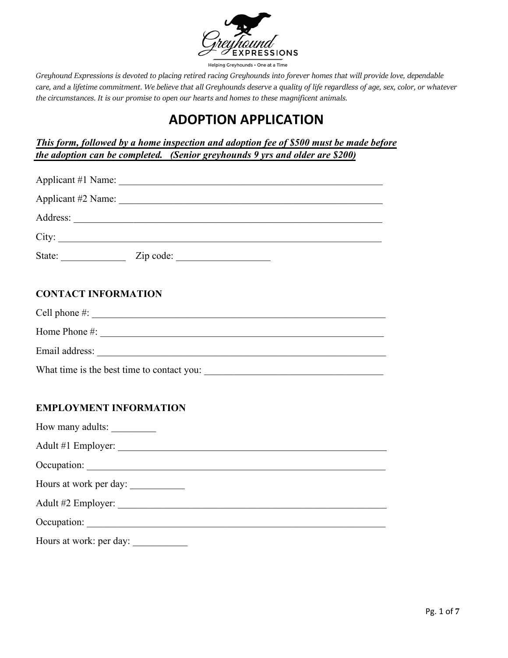

## **ADOPTION APPLICATION**

*This form, followed by a home inspection and adoption fee of \$500 must be made before the adoption can be completed. (Senior greyhounds 9 yrs and older are \$200)*

| City:                         |
|-------------------------------|
|                               |
|                               |
| <b>CONTACT INFORMATION</b>    |
|                               |
| Home Phone $\#$ :             |
|                               |
|                               |
|                               |
| <b>EMPLOYMENT INFORMATION</b> |
| How many adults:              |
|                               |
|                               |
| Hours at work per day:        |
|                               |
|                               |
| Hours at work: per day:       |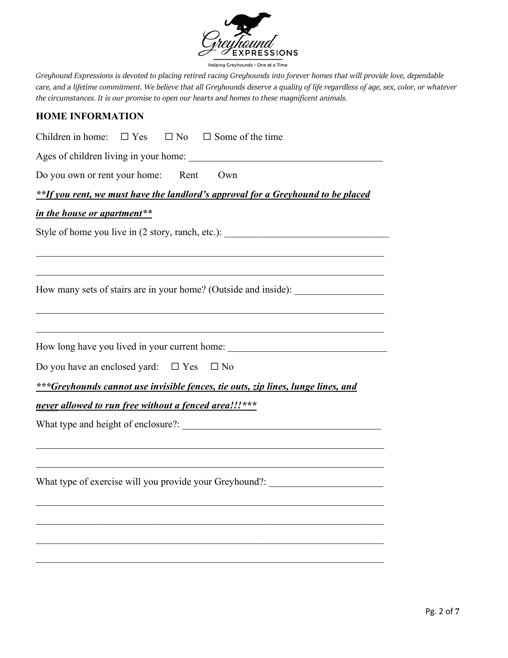

Helping Greyhounds . One at a Time

*Greyhound Expressions is devoted to placing retired racing Greyhounds into forever homes that will provide love, dependable care, and a lifetime commitment. We believe that all Greyhounds deserve a quality of life regardless of age, sex, color, or whatever the circumstances. It is our promise to open our hearts and homes to these magnificent animals.*

#### **HOME INFORMATION**

Children in home:  $\Box$  Yes  $\Box$  No  $\Box$  Some of the time

Ages of children living in your home: \_\_\_\_\_\_\_\_\_\_\_\_\_\_\_\_\_\_\_\_\_\_\_\_\_\_\_\_\_\_\_\_\_\_\_\_\_\_\_

Do you own or rent your home: Rent Own

*\*\*If you rent, we must have the landlord's approval for a Greyhound to be placed* 

\_\_\_\_\_\_\_\_\_\_\_\_\_\_\_\_\_\_\_\_\_\_\_\_\_\_\_\_\_\_\_\_\_\_\_\_\_\_\_\_\_\_\_\_\_\_\_\_\_\_\_\_\_\_\_\_\_\_\_\_\_\_\_\_\_\_\_\_\_\_

\_\_\_\_\_\_\_\_\_\_\_\_\_\_\_\_\_\_\_\_\_\_\_\_\_\_\_\_\_\_\_\_\_\_\_\_\_\_\_\_\_\_\_\_\_\_\_\_\_\_\_\_\_\_\_\_\_\_\_\_\_\_\_\_\_\_\_\_\_\_

\_\_\_\_\_\_\_\_\_\_\_\_\_\_\_\_\_\_\_\_\_\_\_\_\_\_\_\_\_\_\_\_\_\_\_\_\_\_\_\_\_\_\_\_\_\_\_\_\_\_\_\_\_\_\_\_\_\_\_\_\_\_\_\_\_\_\_\_\_\_

#### *in the house or apartment\*\**

Style of home you live in (2 story, ranch, etc.):

How many sets of stairs are in your home? (Outside and inside): \_\_\_\_\_\_\_\_\_\_\_\_\_\_\_\_

How long have you lived in your current home:

| Do you have an enclosed yard: $\Box$ Yes $\Box$ No |  |  |
|----------------------------------------------------|--|--|
|----------------------------------------------------|--|--|

*\*\*\*Greyhounds cannot use invisible fences, tie outs, zip lines, lunge lines, and* 

\_\_\_\_\_\_\_\_\_\_\_\_\_\_\_\_\_\_\_\_\_\_\_\_\_\_\_\_\_\_\_\_\_\_\_\_\_\_\_\_\_\_\_\_\_\_\_\_\_\_\_\_\_\_\_\_\_\_\_\_\_\_\_\_\_\_\_\_\_\_

 $\mathcal{L}_\mathcal{L} = \mathcal{L}_\mathcal{L} = \mathcal{L}_\mathcal{L} = \mathcal{L}_\mathcal{L} = \mathcal{L}_\mathcal{L} = \mathcal{L}_\mathcal{L} = \mathcal{L}_\mathcal{L} = \mathcal{L}_\mathcal{L} = \mathcal{L}_\mathcal{L} = \mathcal{L}_\mathcal{L} = \mathcal{L}_\mathcal{L} = \mathcal{L}_\mathcal{L} = \mathcal{L}_\mathcal{L} = \mathcal{L}_\mathcal{L} = \mathcal{L}_\mathcal{L} = \mathcal{L}_\mathcal{L} = \mathcal{L}_\mathcal{L}$ 

\_\_\_\_\_\_\_\_\_\_\_\_\_\_\_\_\_\_\_\_\_\_\_\_\_\_\_\_\_\_\_\_\_\_\_\_\_\_\_\_\_\_\_\_\_\_\_\_\_\_\_\_\_\_\_\_\_\_\_\_\_\_\_\_\_\_\_\_\_\_

\_\_\_\_\_\_\_\_\_\_\_\_\_\_\_\_\_\_\_\_\_\_\_\_\_\_\_\_\_\_\_\_\_\_\_\_\_\_\_\_\_\_\_\_\_\_\_\_\_\_\_\_\_\_\_\_\_\_\_\_\_\_\_\_\_\_\_\_\_\_

\_\_\_\_\_\_\_\_\_\_\_\_\_\_\_\_\_\_\_\_\_\_\_\_\_\_\_\_\_\_\_\_\_\_\_\_\_\_\_\_\_\_\_\_\_\_\_\_\_\_\_\_\_\_\_\_\_\_\_\_\_\_\_\_\_\_\_\_\_\_

#### *never allowed to run free without a fenced area!!!\*\*\**

What type and height of enclosure?: \_\_\_\_\_\_\_\_\_\_\_\_\_\_\_\_\_\_\_\_\_\_\_\_\_\_\_\_\_\_\_\_\_\_\_\_\_\_\_\_

What type of exercise will you provide your Greyhound?: \_\_\_\_\_\_\_\_\_\_\_\_\_\_\_\_\_\_\_\_\_\_\_\_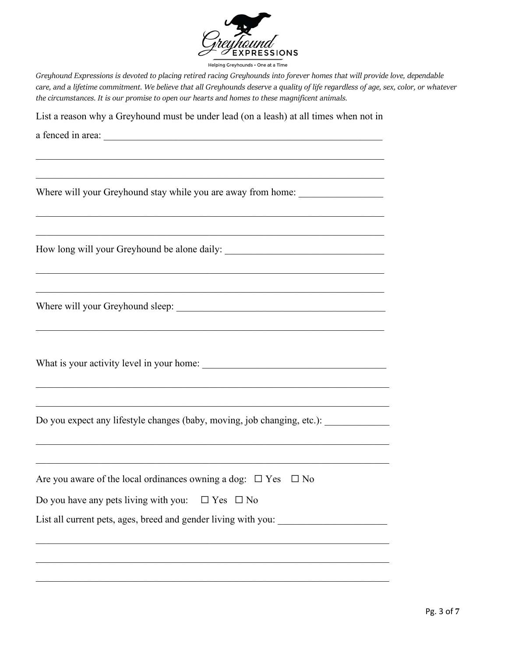

List a reason why a Greyhound must be under lead (on a leash) at all times when not in

\_\_\_\_\_\_\_\_\_\_\_\_\_\_\_\_\_\_\_\_\_\_\_\_\_\_\_\_\_\_\_\_\_\_\_\_\_\_\_\_\_\_\_\_\_\_\_\_\_\_\_\_\_\_\_\_\_\_\_\_\_\_\_\_\_\_\_\_\_\_

 $\mathcal{L}_\mathcal{L} = \mathcal{L}_\mathcal{L} = \mathcal{L}_\mathcal{L} = \mathcal{L}_\mathcal{L} = \mathcal{L}_\mathcal{L} = \mathcal{L}_\mathcal{L} = \mathcal{L}_\mathcal{L} = \mathcal{L}_\mathcal{L} = \mathcal{L}_\mathcal{L} = \mathcal{L}_\mathcal{L} = \mathcal{L}_\mathcal{L} = \mathcal{L}_\mathcal{L} = \mathcal{L}_\mathcal{L} = \mathcal{L}_\mathcal{L} = \mathcal{L}_\mathcal{L} = \mathcal{L}_\mathcal{L} = \mathcal{L}_\mathcal{L}$ 

\_\_\_\_\_\_\_\_\_\_\_\_\_\_\_\_\_\_\_\_\_\_\_\_\_\_\_\_\_\_\_\_\_\_\_\_\_\_\_\_\_\_\_\_\_\_\_\_\_\_\_\_\_\_\_\_\_\_\_\_\_\_\_\_\_\_\_\_\_\_

\_\_\_\_\_\_\_\_\_\_\_\_\_\_\_\_\_\_\_\_\_\_\_\_\_\_\_\_\_\_\_\_\_\_\_\_\_\_\_\_\_\_\_\_\_\_\_\_\_\_\_\_\_\_\_\_\_\_\_\_\_\_\_\_\_\_\_\_\_\_

\_\_\_\_\_\_\_\_\_\_\_\_\_\_\_\_\_\_\_\_\_\_\_\_\_\_\_\_\_\_\_\_\_\_\_\_\_\_\_\_\_\_\_\_\_\_\_\_\_\_\_\_\_\_\_\_\_\_\_\_\_\_\_\_\_\_\_\_\_\_\_

a fenced in area:

Where will your Greyhound stay while you are away from home: \_\_\_\_\_\_\_\_\_\_\_\_\_\_\_\_\_\_\_

How long will your Greyhound be alone daily:

Where will your Greyhound sleep: **Where** will your Greyhound sleep:

What is your activity level in your home:

Do you expect any lifestyle changes (baby, moving, job changing, etc.): \_\_\_\_\_\_\_\_\_

| Are you aware of the local ordinances owning a dog: $\Box$ Yes $\Box$ No |
|--------------------------------------------------------------------------|
| Do you have any pets living with you: $\Box$ Yes $\Box$ No               |
| List all current pets, ages, breed and gender living with you:           |
|                                                                          |

\_\_\_\_\_\_\_\_\_\_\_\_\_\_\_\_\_\_\_\_\_\_\_\_\_\_\_\_\_\_\_\_\_\_\_\_\_\_\_\_\_\_\_\_\_\_\_\_\_\_\_\_\_\_\_\_\_\_\_\_\_\_\_\_\_\_\_\_\_\_\_

\_\_\_\_\_\_\_\_\_\_\_\_\_\_\_\_\_\_\_\_\_\_\_\_\_\_\_\_\_\_\_\_\_\_\_\_\_\_\_\_\_\_\_\_\_\_\_\_\_\_\_\_\_\_\_\_\_\_\_\_\_\_\_\_\_\_\_\_\_\_\_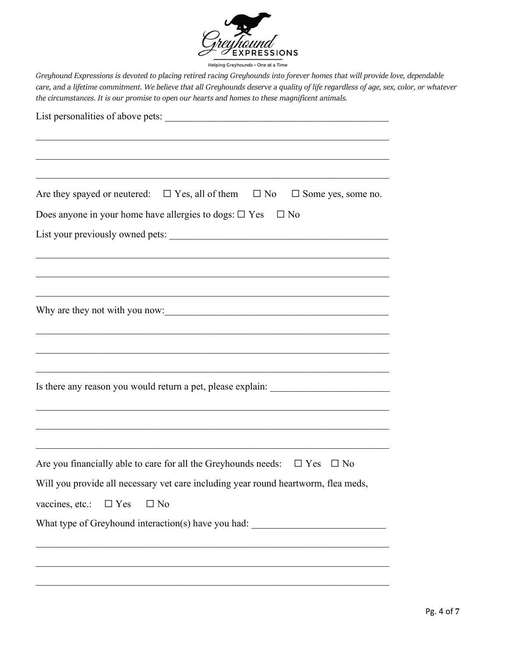

| Are they spayed or neutered: $\square$ Yes, all of them $\square$ No<br>$\Box$ Some yes, some no. |
|---------------------------------------------------------------------------------------------------|
| Does anyone in your home have allergies to dogs: $\square$ Yes $\square$ No                       |
|                                                                                                   |
|                                                                                                   |
|                                                                                                   |
|                                                                                                   |
| Why are they not with you now:                                                                    |
|                                                                                                   |
|                                                                                                   |
| the control of the control of the control of the control of the control of the control of         |
| Is there any reason you would return a pet, please explain: ____________________                  |
|                                                                                                   |
|                                                                                                   |
|                                                                                                   |
| Are you financially able to care for all the Greyhounds needs: $\Box$ Yes $\Box$ No               |
| Will you provide all necessary vet care including year round heartworm, flea meds,                |
| vaccines, etc.:<br>$\Box$ No<br>$\Box$ Yes                                                        |
| What type of Greyhound interaction(s) have you had: ____________________________                  |
|                                                                                                   |
|                                                                                                   |
|                                                                                                   |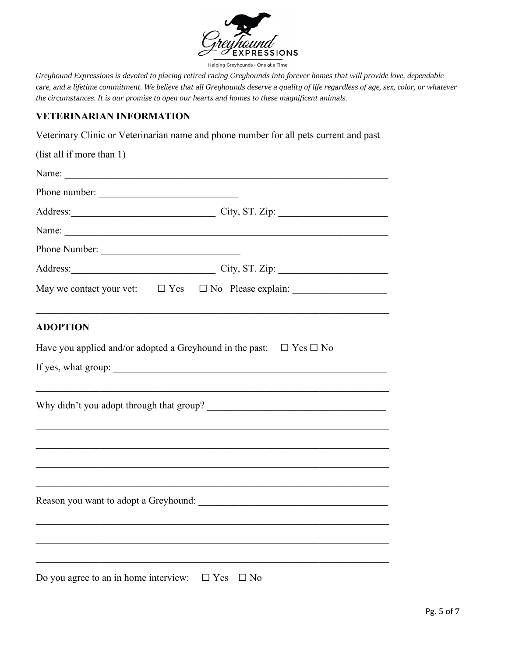

Helping Greyhounds . One at a Time

*Greyhound Expressions is devoted to placing retired racing Greyhounds into forever homes that will provide love, dependable care, and a lifetime commitment. We believe that all Greyhounds deserve a quality of life regardless of age, sex, color, or whatever the circumstances. It is our promise to open our hearts and homes to these magnificent animals.*

#### **VETERINARIAN INFORMATION**

Veterinary Clinic or Veterinarian name and phone number for all pets current and past

| (list all if more than 1)                                                                           |  |
|-----------------------------------------------------------------------------------------------------|--|
|                                                                                                     |  |
| Phone number:                                                                                       |  |
|                                                                                                     |  |
|                                                                                                     |  |
| Phone Number:                                                                                       |  |
| Address: City, ST. Zip:                                                                             |  |
|                                                                                                     |  |
| <b>ADOPTION</b>                                                                                     |  |
| Have you applied and/or adopted a Greyhound in the past: $\Box$ Yes $\Box$ No                       |  |
|                                                                                                     |  |
| Why didn't you adopt through that group?<br><u>Letting and the substitution of the substitution</u> |  |
|                                                                                                     |  |
|                                                                                                     |  |
|                                                                                                     |  |
|                                                                                                     |  |
|                                                                                                     |  |
|                                                                                                     |  |

Do you agree to an in home interview:  $\Box$  Yes  $\Box$  No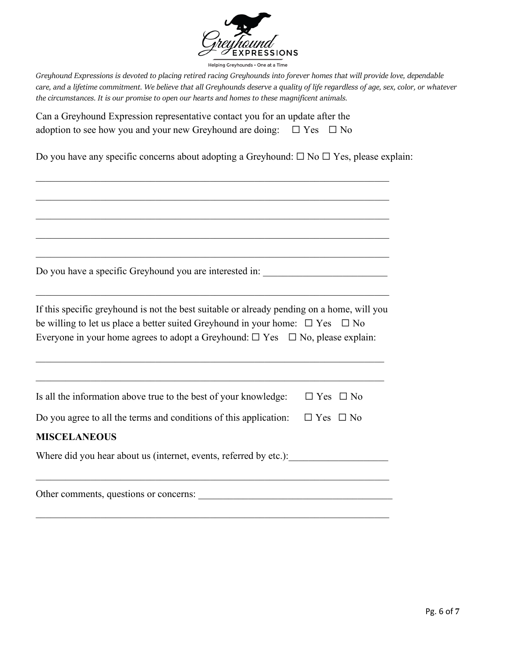

| Can a Greyhound Expression representative contact you for an update after the        |  |
|--------------------------------------------------------------------------------------|--|
| adoption to see how you and your new Greyhound are doing: $\square$ Yes $\square$ No |  |

Do you have any specific concerns about adopting a Greyhound: ☐ No ☐ Yes, please explain:

\_\_\_\_\_\_\_\_\_\_\_\_\_\_\_\_\_\_\_\_\_\_\_\_\_\_\_\_\_\_\_\_\_\_\_\_\_\_\_\_\_\_\_\_\_\_\_\_\_\_\_\_\_\_\_\_\_\_\_\_\_\_\_\_\_\_\_\_\_\_\_

\_\_\_\_\_\_\_\_\_\_\_\_\_\_\_\_\_\_\_\_\_\_\_\_\_\_\_\_\_\_\_\_\_\_\_\_\_\_\_\_\_\_\_\_\_\_\_\_\_\_\_\_\_\_\_\_\_\_\_\_\_\_\_\_\_\_\_\_\_\_\_

\_\_\_\_\_\_\_\_\_\_\_\_\_\_\_\_\_\_\_\_\_\_\_\_\_\_\_\_\_\_\_\_\_\_\_\_\_\_\_\_\_\_\_\_\_\_\_\_\_\_\_\_\_\_\_\_\_\_\_\_\_\_\_\_\_\_\_\_\_\_\_

\_\_\_\_\_\_\_\_\_\_\_\_\_\_\_\_\_\_\_\_\_\_\_\_\_\_\_\_\_\_\_\_\_\_\_\_\_\_\_\_\_\_\_\_\_\_\_\_\_\_\_\_\_\_\_\_\_\_\_\_\_\_\_\_\_\_\_\_\_\_\_

Do you have a specific Greyhound you are interested in: \_\_\_\_\_\_\_\_\_\_\_\_\_\_\_\_\_\_\_\_\_\_\_\_

| If this specific greyhound is not the best suitable or already pending on a home, will you     |  |
|------------------------------------------------------------------------------------------------|--|
| be willing to let us place a better suited Greyhound in your home: $\square$ Yes $\square$ No  |  |
| Everyone in your home agrees to adopt a Greyhound: $\square$ Yes $\square$ No, please explain: |  |

\_\_\_\_\_\_\_\_\_\_\_\_\_\_\_\_\_\_\_\_\_\_\_\_\_\_\_\_\_\_\_\_\_\_\_\_\_\_\_\_\_\_\_\_\_\_\_\_\_\_\_\_\_\_\_\_\_\_\_\_\_\_\_\_\_\_\_\_\_\_

| Is all the information above true to the best of your knowledge: $\square$ Yes $\square$ No |  |
|---------------------------------------------------------------------------------------------|--|
| Do you agree to all the terms and conditions of this application: $\Box$ Yes $\Box$ No      |  |
| <b>MISCELANEOUS</b>                                                                         |  |
| Where did you hear about us (internet, events, referred by etc.):                           |  |
|                                                                                             |  |

Other comments, questions or concerns: \_\_\_\_\_\_\_\_\_\_\_\_\_\_\_\_\_\_\_\_\_\_\_\_\_\_\_\_\_\_\_\_\_\_\_\_\_\_\_

\_\_\_\_\_\_\_\_\_\_\_\_\_\_\_\_\_\_\_\_\_\_\_\_\_\_\_\_\_\_\_\_\_\_\_\_\_\_\_\_\_\_\_\_\_\_\_\_\_\_\_\_\_\_\_\_\_\_\_\_\_\_\_\_\_\_\_\_\_\_\_